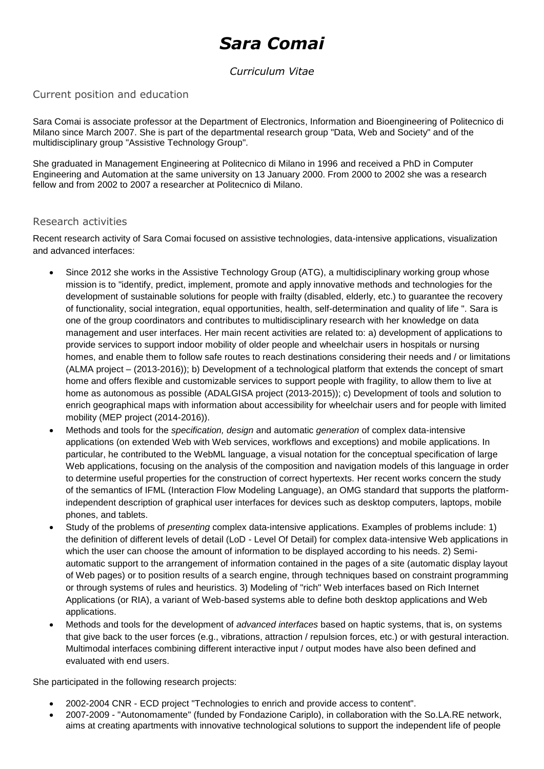# *Sara Comai*

## *Curriculum Vitae*

### Current position and education

Sara Comai is associate professor at the Department of Electronics, Information and Bioengineering of Politecnico di Milano since March 2007. She is part of the departmental research group "Data, Web and Society" and of the multidisciplinary group "Assistive Technology Group".

She graduated in Management Engineering at Politecnico di Milano in 1996 and received a PhD in Computer Engineering and Automation at the same university on 13 January 2000. From 2000 to 2002 she was a research fellow and from 2002 to 2007 a researcher at Politecnico di Milano.

#### Research activities

Recent research activity of Sara Comai focused on assistive technologies, data-intensive applications, visualization and advanced interfaces:

- Since 2012 she works in the Assistive Technology Group (ATG), a multidisciplinary working group whose mission is to "identify, predict, implement, promote and apply innovative methods and technologies for the development of sustainable solutions for people with frailty (disabled, elderly, etc.) to guarantee the recovery of functionality, social integration, equal opportunities, health, self-determination and quality of life ". Sara is one of the group coordinators and contributes to multidisciplinary research with her knowledge on data management and user interfaces. Her main recent activities are related to: a) development of applications to provide services to support indoor mobility of older people and wheelchair users in hospitals or nursing homes, and enable them to follow safe routes to reach destinations considering their needs and / or limitations (ALMA project – (2013-2016)); b) Development of a technological platform that extends the concept of smart home and offers flexible and customizable services to support people with fragility, to allow them to live at home as autonomous as possible (ADALGISA project (2013-2015)); c) Development of tools and solution to enrich geographical maps with information about accessibility for wheelchair users and for people with limited mobility (MEP project (2014-2016)).
- Methods and tools for the *specification, design* and automatic *generation* of complex data-intensive applications (on extended Web with Web services, workflows and exceptions) and mobile applications. In particular, he contributed to the WebML language, a visual notation for the conceptual specification of large Web applications, focusing on the analysis of the composition and navigation models of this language in order to determine useful properties for the construction of correct hypertexts. Her recent works concern the study of the semantics of IFML (Interaction Flow Modeling Language), an OMG standard that supports the platformindependent description of graphical user interfaces for devices such as desktop computers, laptops, mobile phones, and tablets.
- Study of the problems of *presenting* complex data-intensive applications. Examples of problems include: 1) the definition of different levels of detail (LoD - Level Of Detail) for complex data-intensive Web applications in which the user can choose the amount of information to be displayed according to his needs. 2) Semiautomatic support to the arrangement of information contained in the pages of a site (automatic display layout of Web pages) or to position results of a search engine, through techniques based on constraint programming or through systems of rules and heuristics. 3) Modeling of "rich" Web interfaces based on Rich Internet Applications (or RIA), a variant of Web-based systems able to define both desktop applications and Web applications.
- Methods and tools for the development of *advanced interfaces* based on haptic systems, that is, on systems that give back to the user forces (e.g., vibrations, attraction / repulsion forces, etc.) or with gestural interaction. Multimodal interfaces combining different interactive input / output modes have also been defined and evaluated with end users.

She participated in the following research projects:

- 2002-2004 CNR ECD project "Technologies to enrich and provide access to content".
- 2007-2009 "Autonomamente" (funded by Fondazione Cariplo), in collaboration with the So.LA.RE network, aims at creating apartments with innovative technological solutions to support the independent life of people